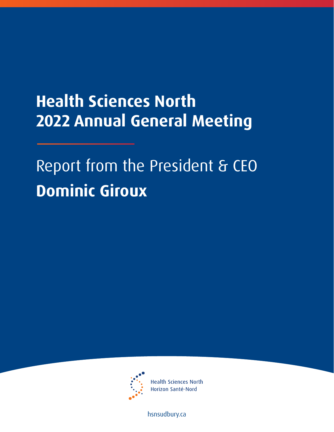## **Health Sciences North 2022 Annual General Meeting**

Report from the President & CEO **Dominic Giroux** 



**Health Sciences North** Horizon Santé-Nord

[hsnsudbury.ca](www.hsnsudbury.ca)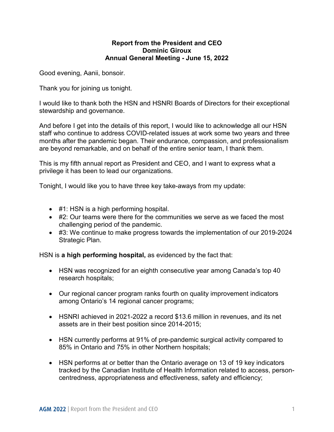## **Report from the President and CEO Dominic Giroux Annual General Meeting - June 15, 2022**

Good evening, Aanii, bonsoir.

Thank you for joining us tonight.

 stewardship and governance. I would like to thank both the HSN and HSNRI Boards of Directors for their exceptional

 months after the pandemic began. Their endurance, compassion, and professionalism And before I get into the details of this report, I would like to acknowledge all our HSN staff who continue to address COVID-related issues at work some two years and three are beyond remarkable, and on behalf of the entire senior team, I thank them.

 This is my fifth annual report as President and CEO, and I want to express what a privilege it has been to lead our organizations.

Tonight, I would like you to have three key take-aways from my update:

- #1: HSN is a high performing hospital.
- #2: Our teams were there for the communities we serve as we faced the most challenging period of the pandemic.
- #3: We continue to make progress towards the implementation of our 2019-2024 Strategic Plan.

HSN is **a high performing hospital,** as evidenced by the fact that:

- HSN was recognized for an eighth consecutive year among Canada's top 40 research hospitals;
- Our regional cancer program ranks fourth on quality improvement indicators among Ontario's 14 regional cancer programs;
- HSNRI achieved in 2021-2022 a record \$13.6 million in revenues, and its net assets are in their best position since 2014-2015;
- HSN currently performs at 91% of pre-pandemic surgical activity compared to 85% in Ontario and 75% in other Northern hospitals;
- HSN performs at or better than the Ontario average on 13 of 19 key indicators tracked by the Canadian Institute of Health Information related to access, personcentredness, appropriateness and effectiveness, safety and efficiency;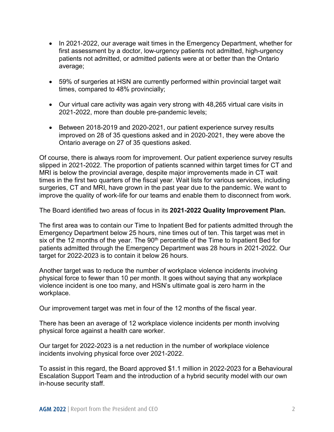- In 2021-2022, our average wait times in the Emergency Department, whether for first assessment by a doctor, low-urgency patients not admitted, high-urgency patients not admitted, or admitted patients were at or better than the Ontario average;
- 59% of surgeries at HSN are currently performed within provincial target wait times, compared to 48% provincially;
- Our virtual care activity was again very strong with 48,265 virtual care visits in 2021-2022, more than double pre-pandemic levels;
- Between 2018-2019 and 2020-2021, our patient experience survey results improved on 28 of 35 questions asked and in 2020-2021, they were above the Ontario average on 27 of 35 questions asked.

 Of course, there is always room for improvement. Our patient experience survey results slipped in 2021-2022. The proportion of patients scanned within target times for CT and times in the first two quarters of the fiscal year. Wait lists for various services, including improve the quality of work-life for our teams and enable them to disconnect from work. MRI is below the provincial average, despite major improvements made in CT wait surgeries, CT and MRI, have grown in the past year due to the pandemic. We want to

The Board identified two areas of focus in its **2021-2022 Quality Improvement Plan.** 

The first area was to contain our Time to Inpatient Bed for patients admitted through the Emergency Department below 25 hours, nine times out of ten. This target was met in six of the 12 months of the year. The  $90<sup>th</sup>$  percentile of the Time to Inpatient Bed for patients admitted through the Emergency Department was 28 hours in 2021-2022. Our target for 2022-2023 is to contain it below 26 hours.

Another target was to reduce the number of workplace violence incidents involving physical force to fewer than 10 per month. It goes without saying that any workplace violence incident is one too many, and HSN's ultimate goal is zero harm in the workplace.

Our improvement target was met in four of the 12 months of the fiscal year.

There has been an average of 12 workplace violence incidents per month involving physical force against a health care worker.

Our target for 2022-2023 is a net reduction in the number of workplace violence incidents involving physical force over 2021-2022.

 Escalation Support Team and the introduction of a hybrid security model with our own To assist in this regard, the Board approved \$1.1 million in 2022-2023 for a Behavioural in-house security staff.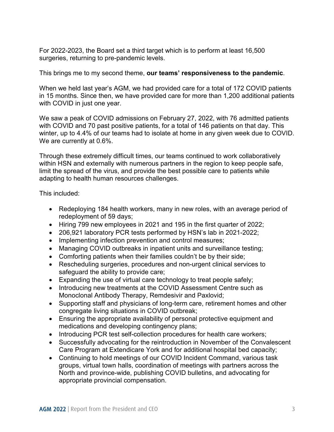For 2022-2023, the Board set a third target which is to perform at least 16,500 surgeries, returning to pre-pandemic levels.

This brings me to my second theme, **our teams' responsiveness to the pandemic**.

 When we held last year's AGM, we had provided care for a total of 172 COVID patients in 15 months. Since then, we have provided care for more than 1,200 additional patients with COVID in just one year.

 with COVID and 70 past positive patients, for a total of 146 patients on that day. This We are currently at 0.6%. We saw a peak of COVID admissions on February 27, 2022, with 76 admitted patients winter, up to 4.4% of our teams had to isolate at home in any given week due to COVID.

We are currently at 0.6%.<br>Through these extremely difficult times, our teams continued to work collaboratively within HSN and externally with numerous partners in the region to keep people safe, limit the spread of the virus, and provide the best possible care to patients while adapting to health human resources challenges.

This included:

- Redeploying 184 health workers, many in new roles, with an average period of redeployment of 59 days;
- Hiring 799 new employees in 2021 and 195 in the first quarter of 2022;
- 206,921 laboratory PCR tests performed by HSN's lab in 2021-2022;
- Implementing infection prevention and control measures;
- Managing COVID outbreaks in inpatient units and surveillance testing;
- Comforting patients when their families couldn't be by their side;
- Rescheduling surgeries, procedures and non-urgent clinical services to safeguard the ability to provide care;
- Expanding the use of virtual care technology to treat people safely;
- Introducing new treatments at the COVID Assessment Centre such as Monoclonal Antibody Therapy, Remdesivir and Paxlovid;
- Supporting staff and physicians of long-term care, retirement homes and other congregate living situations in COVID outbreak;
- Ensuring the appropriate availability of personal protective equipment and medications and developing contingency plans;
- Introducing PCR test self-collection procedures for health care workers;
- Successfully advocating for the reintroduction in November of the Convalescent Care Program at Extendicare York and for additional hospital bed capacity;
- Continuing to hold meetings of our COVID Incident Command, various task groups, virtual town halls, coordination of meetings with partners across the North and province-wide, publishing COVID bulletins, and advocating for appropriate provincial compensation.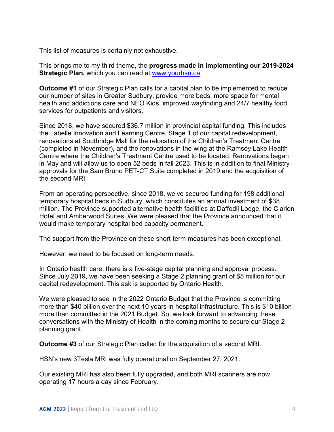This list of measures is certainly not exhaustive.

This brings me to my third theme, the **progress made in implementing our 2019-2024 Strategic Plan,** which you can read at [www.yourhsn.ca.](http://www.yourhsn.ca/)

 **Outcome #1** of our Strategic Plan calls for a capital plan to be implemented to reduce our number of sites in Greater Sudbury, provide more beds, more space for mental health and addictions care and NEO Kids, improved wayfinding and 24/7 healthy food services for outpatients and visitors.

 the Labelle Innovation and Learning Centre, Stage 1 of our capital redevelopment, in May and will allow us to open 52 beds in fall 2023. This is in addition to final Ministry Since 2018, we have secured \$36.7 million in provincial capital funding. This includes renovations at Southridge Mall for the relocation of the Children's Treatment Centre (completed in November), and the renovations in the wing at the Ramsey Lake Health Centre where the Children's Treatment Centre used to be located. Renovations began approvals for the Sam Bruno PET-CT Suite completed in 2019 and the acquisition of the second MRI.

 temporary hospital beds in Sudbury, which constitutes an annual investment of \$38 From an operating perspective, since 2018, we've secured funding for 198 additional million. The Province supported alternative health facilities at Daffodil Lodge, the Clarion Hotel and Amberwood Suites. We were pleased that the Province announced that it would make temporary hospital bed capacity permanent.

The support from the Province on these short-term measures has been exceptional.

However, we need to be focused on long-term needs.

 In Ontario health care, there is a five-stage capital planning and approval process. Since July 2019, we have been seeking a Stage 2 planning grant of \$5 million for our capital redevelopment. This ask is supported by Ontario Health.

We were pleased to see in the 2022 Ontario Budget that the Province is committing more than \$40 billion over the next 10 years in hospital infrastructure. This is \$10 billion more than committed in the 2021 Budget. So, we look forward to advancing these conversations with the Ministry of Health in the coming months to secure our Stage 2 planning grant.

**Outcome #3** of our Strategic Plan called for the acquisition of a second MRI.

HSN's new 3Tesla MRI was fully operational on September 27, 2021.

HSN's new 3Tesla MRI was fully operational on September 27, 2021.<br>Our existing MRI has also been fully upgraded, and both MRI scanners are now operating 17 hours a day since February.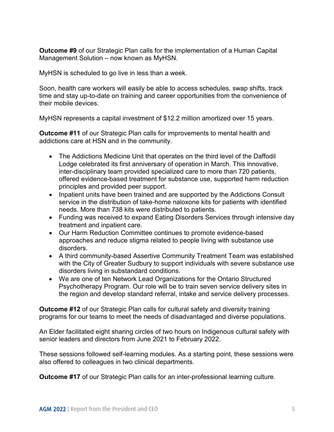Management Solution – now known as MyHSN. **Outcome #9** of our Strategic Plan calls for the implementation of a Human Capital

MyHSN is scheduled to go live in less than a week.

 time and stay up-to-date on training and career opportunities from the convenience of their mobile devices. Soon, health care workers will easily be able to access schedules, swap shifts, track

MyHSN represents a capital investment of \$12.2 million amortized over 15 years.

**Outcome #11** of our Strategic Plan calls for improvements to mental health and addictions care at HSN and in the community.

- The Addictions Medicine Unit that operates on the third level of the Daffodil Lodge celebrated its first anniversary of operation in March. This innovative, inter-disciplinary team provided specialized care to more than 720 patients, offered evidence-based treatment for substance use, supported harm reduction principles and provided peer support.
- Inpatient units have been trained and are supported by the Addictions Consult service in the distribution of take-home naloxone kits for patients with identified needs. More than 738 kits were distributed to patients.
- Funding was received to expand Eating Disorders Services through intensive day treatment and inpatient care.
- • Our Harm Reduction Committee continues to promote evidence-based approaches and reduce stigma related to people living with substance use disorders.
- A third community-based Assertive Community Treatment Team was established with the City of Greater Sudbury to support individuals with severe substance use disorders living in substandard conditions.
- We are one of ten Network Lead Organizations for the Ontario Structured Psychotherapy Program. Our role will be to train seven service delivery sites in the region and develop standard referral, intake and service delivery processes.

**Outcome #12** of our Strategic Plan calls for cultural safety and diversity training programs for our teams to meet the needs of disadvantaged and diverse populations.

An Elder facilitated eight sharing circles of two hours on Indigenous cultural safety with senior leaders and directors from June 2021 to February 2022.

These sessions followed self-learning modules. As a starting point, these sessions were also offered to colleagues in two clinical departments.

**Outcome #17** of our Strategic Plan calls for an inter-professional learning culture.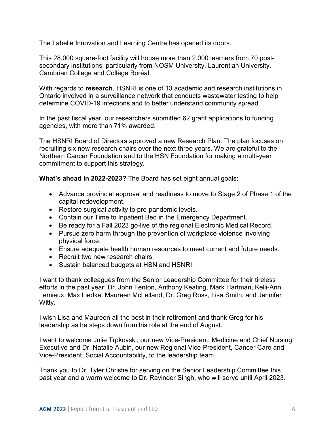The Labelle Innovation and Learning Centre has opened its doors.

This 28,000 square-foot facility will house more than 2,000 learners from 70 postsecondary institutions, particularly from NOSM University, Laurentian University, Cambrian College and Collège Boréal.

 With regards to **research**, HSNRI is one of 13 academic and research institutions in Ontario involved in a surveillance network that conducts wastewater testing to help determine COVID-19 infections and to better understand community spread.

 In the past fiscal year, our researchers submitted 62 grant applications to funding agencies, with more than 71% awarded.

agencies, with more than 71% awarded.<br>The HSNRI Board of Directors approved a new Research Plan. The plan focuses on recruiting six new research chairs over the next three years. We are grateful to the Northern Cancer Foundation and to the HSN Foundation for making a multi-year commitment to support this strategy.

**What's ahead in 2022-2023?** The Board has set eight annual goals:

- Advance provincial approval and readiness to move to Stage 2 of Phase 1 of the capital redevelopment.
- Restore surgical activity to pre-pandemic levels.
- Contain our Time to Inpatient Bed in the Emergency Department.
- Be ready for a Fall 2023 go-live of the regional Electronic Medical Record.
- Pursue zero harm through the prevention of workplace violence involving physical force.
- Ensure adequate health human resources to meet current and future needs.
- Recruit two new research chairs.
- Sustain balanced budgets at HSN and HSNRI.

I want to thank colleagues from the Senior Leadership Committee for their tireless efforts in the past year: Dr. John Fenton, Anthony Keating, Mark Hartman, Kelli-Ann Lemieux, Max Liedke, Maureen McLelland, Dr. Greg Ross, Lisa Smith, and Jennifer Witty.

I wish Lisa and Maureen all the best in their retirement and thank Greg for his leadership as he steps down from his role at the end of August.

 Executive and Dr. Natalie Aubin, our new Regional Vice-President, Cancer Care and I want to welcome Julie Trpkovski, our new Vice-President, Medicine and Chief Nursing Vice-President, Social Accountability, to the leadership team.

 Thank you to Dr. Tyler Christie for serving on the Senior Leadership Committee this past year and a warm welcome to Dr. Ravinder Singh, who will serve until April 2023.